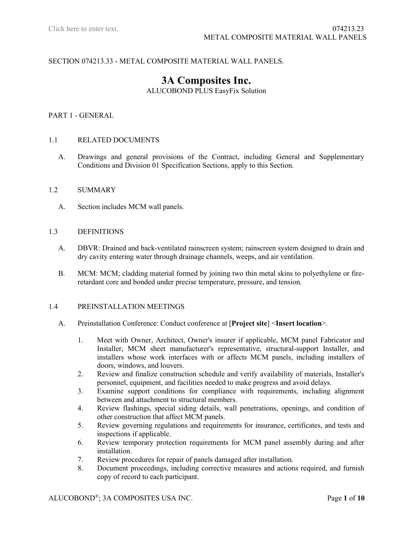# SECTION 074213.33 - METAL COMPOSITE MATERIAL WALL PANELS.

# **3A Composites Inc.** ALUCOBOND PLUS EasyFix Solution

## PART 1 - GENERAL

## 1.1 RELATED DOCUMENTS

A. Drawings and general provisions of the Contract, including General and Supplementary Conditions and Division 01 Specification Sections, apply to this Section.

#### 1.2 SUMMARY

A. Section includes MCM wall panels.

#### 1.3 DEFINITIONS

- A. DBVR: Drained and back-ventilated rainscreen system; rainscreen system designed to drain and dry cavity entering water through drainage channels, weeps, and air ventilation.
- B. MCM: MCM; cladding material formed by joining two thin metal skins to polyethylene or fireretardant core and bonded under precise temperature, pressure, and tension.

#### 1.4 PREINSTALLATION MEETINGS

- A. Preinstallation Conference: Conduct conference at [**Project site**] <**Insert location**>.
	- 1. Meet with Owner, Architect, Owner's insurer if applicable, MCM panel Fabricator and Installer, MCM sheet manufacturer's representative, structural-support Installer, and installers whose work interfaces with or affects MCM panels, including installers of doors, windows, and louvers.
	- 2. Review and finalize construction schedule and verify availability of materials, Installer's personnel, equipment, and facilities needed to make progress and avoid delays.
	- 3. Examine support conditions for compliance with requirements, including alignment between and attachment to structural members.
	- 4. Review flashings, special siding details, wall penetrations, openings, and condition of other construction that affect MCM panels.
	- 5. Review governing regulations and requirements for insurance, certificates, and tests and inspections if applicable.
	- 6. Review temporary protection requirements for MCM panel assembly during and after installation.
	- 7. Review procedures for repair of panels damaged after installation.
	- 8. Document proceedings, including corrective measures and actions required, and furnish copy of record to each participant.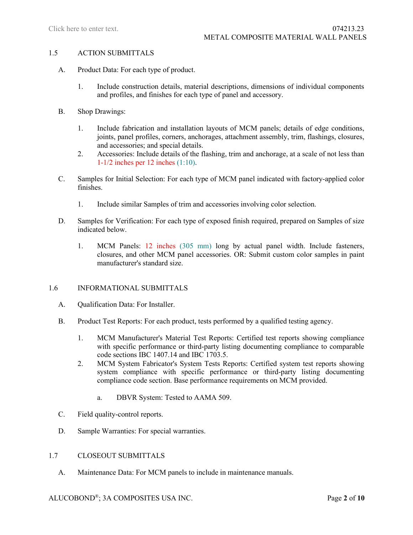#### 1.5 ACTION SUBMITTALS

- A. Product Data: For each type of product.
	- 1. Include construction details, material descriptions, dimensions of individual components and profiles, and finishes for each type of panel and accessory.
- B. Shop Drawings:
	- 1. Include fabrication and installation layouts of MCM panels; details of edge conditions, joints, panel profiles, corners, anchorages, attachment assembly, trim, flashings, closures, and accessories; and special details.
	- 2. Accessories: Include details of the flashing, trim and anchorage, at a scale of not less than 1-1/2 inches per 12 inches (1:10).
- C. Samples for Initial Selection: For each type of MCM panel indicated with factory-applied color finishes.
	- 1. Include similar Samples of trim and accessories involving color selection.
- D. Samples for Verification: For each type of exposed finish required, prepared on Samples of size indicated below.
	- 1. MCM Panels: 12 inches (305 mm) long by actual panel width. Include fasteners, closures, and other MCM panel accessories. OR: Submit custom color samples in paint manufacturer's standard size.

## 1.6 INFORMATIONAL SUBMITTALS

- A. Qualification Data: For Installer.
- B. Product Test Reports: For each product, tests performed by a qualified testing agency.
	- 1. MCM Manufacturer's Material Test Reports: Certified test reports showing compliance with specific performance or third-party listing documenting compliance to comparable code sections IBC 1407.14 and IBC 1703.5.
	- 2. MCM System Fabricator's System Tests Reports: Certified system test reports showing system compliance with specific performance or third-party listing documenting compliance code section. Base performance requirements on MCM provided.
		- a. DBVR System: Tested to AAMA 509.
- C. Field quality-control reports.
- D. Sample Warranties: For special warranties.

## 1.7 CLOSEOUT SUBMITTALS

A. Maintenance Data: For MCM panels to include in maintenance manuals.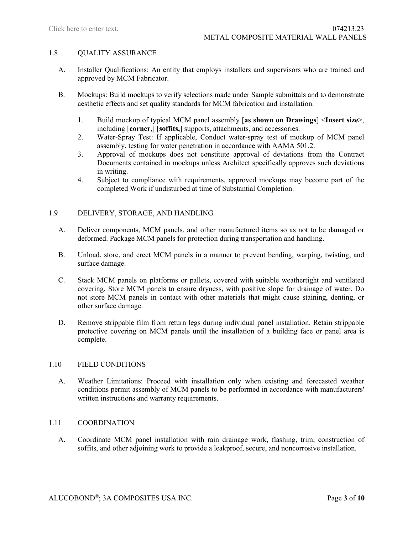### 1.8 QUALITY ASSURANCE

- A. Installer Qualifications: An entity that employs installers and supervisors who are trained and approved by MCM Fabricator.
- B. Mockups: Build mockups to verify selections made under Sample submittals and to demonstrate aesthetic effects and set quality standards for MCM fabrication and installation.
	- 1. Build mockup of typical MCM panel assembly [**as shown on Drawings**] <**Insert size**>, including [**corner,**] [**soffits,**] supports, attachments, and accessories.
	- 2. Water-Spray Test: If applicable, Conduct water-spray test of mockup of MCM panel assembly, testing for water penetration in accordance with AAMA 501.2.
	- 3. Approval of mockups does not constitute approval of deviations from the Contract Documents contained in mockups unless Architect specifically approves such deviations in writing.
	- 4. Subject to compliance with requirements, approved mockups may become part of the completed Work if undisturbed at time of Substantial Completion.

# 1.9 DELIVERY, STORAGE, AND HANDLING

- A. Deliver components, MCM panels, and other manufactured items so as not to be damaged or deformed. Package MCM panels for protection during transportation and handling.
- B. Unload, store, and erect MCM panels in a manner to prevent bending, warping, twisting, and surface damage.
- C. Stack MCM panels on platforms or pallets, covered with suitable weathertight and ventilated covering. Store MCM panels to ensure dryness, with positive slope for drainage of water. Do not store MCM panels in contact with other materials that might cause staining, denting, or other surface damage.
- D. Remove strippable film from return legs during individual panel installation. Retain strippable protective covering on MCM panels until the installation of a building face or panel area is complete.

## 1.10 FIELD CONDITIONS

A. Weather Limitations: Proceed with installation only when existing and forecasted weather conditions permit assembly of MCM panels to be performed in accordance with manufacturers' written instructions and warranty requirements.

#### 1.11 COORDINATION

A. Coordinate MCM panel installation with rain drainage work, flashing, trim, construction of soffits, and other adjoining work to provide a leakproof, secure, and noncorrosive installation.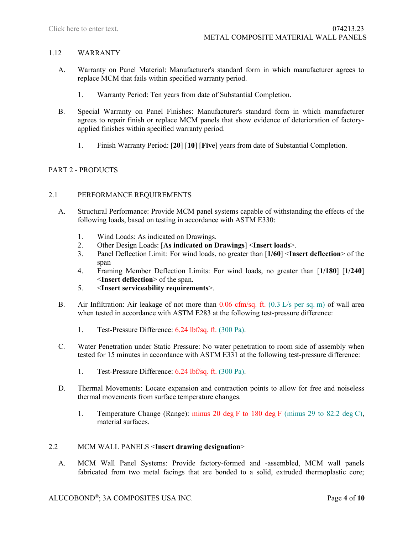## 1.12 WARRANTY

- A. Warranty on Panel Material: Manufacturer's standard form in which manufacturer agrees to replace MCM that fails within specified warranty period.
	- 1. Warranty Period: Ten years from date of Substantial Completion.
- B. Special Warranty on Panel Finishes: Manufacturer's standard form in which manufacturer agrees to repair finish or replace MCM panels that show evidence of deterioration of factoryapplied finishes within specified warranty period.
	- 1. Finish Warranty Period: [**20**] [**10**] [**Five**] years from date of Substantial Completion.

## PART 2 - PRODUCTS

## 2.1 PERFORMANCE REQUIREMENTS

- A. Structural Performance: Provide MCM panel systems capable of withstanding the effects of the following loads, based on testing in accordance with ASTM E330:
	- 1. Wind Loads: As indicated on Drawings.
	- 2. Other Design Loads: [**As indicated on Drawings**] <**Insert loads**>.
	- 3. Panel Deflection Limit: For wind loads, no greater than [**1/60**] <**Insert deflection**> of the span
	- 4. Framing Member Deflection Limits: For wind loads, no greater than [**1/180**] [**1/240**] <**Insert deflection**> of the span.
	- 5. <**Insert serviceability requirements**>.
- B. Air Infiltration: Air leakage of not more than  $0.06 \text{ cfm/sq}$ . ft.  $(0.3 \text{ L/s} \text{ per sq. m})$  of wall area when tested in accordance with ASTM E283 at the following test-pressure difference:
	- 1. Test-Pressure Difference: 6.24 lbf/sq. ft. (300 Pa).
- C. Water Penetration under Static Pressure: No water penetration to room side of assembly when tested for 15 minutes in accordance with ASTM E331 at the following test-pressure difference:
	- 1. Test-Pressure Difference: 6.24 lbf/sq. ft. (300 Pa).
- D. Thermal Movements: Locate expansion and contraction points to allow for free and noiseless thermal movements from surface temperature changes.
	- 1. Temperature Change (Range): minus 20 deg F to 180 deg F (minus 29 to 82.2 deg C), material surfaces.

#### 2.2 MCM WALL PANELS <**Insert drawing designation**>

A. MCM Wall Panel Systems: Provide factory-formed and -assembled, MCM wall panels fabricated from two metal facings that are bonded to a solid, extruded thermoplastic core;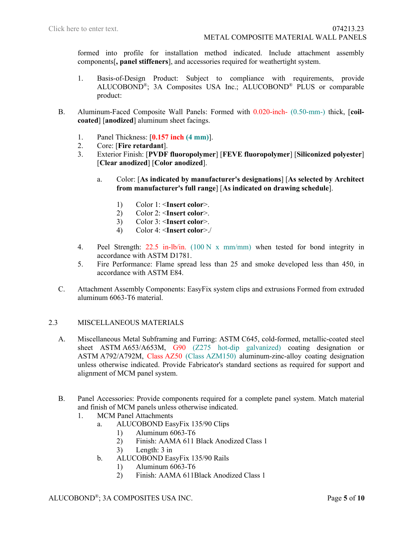formed into profile for installation method indicated. Include attachment assembly components[**, panel stiffeners**], and accessories required for weathertight system.

- 1. Basis-of-Design Product: Subject to compliance with requirements, provide ALUCOBOND®; 3A Composites USA Inc.; ALUCOBOND® PLUS or comparable product:
- B. Aluminum-Faced Composite Wall Panels: Formed with 0.020-inch- (0.50-mm-) thick, [**coilcoated**] [**anodized**] aluminum sheet facings.
	- 1. Panel Thickness:  $[0.157 \text{ inch } (4 \text{ mm})]$ .<br>2. Core: [Fire retardant].
	- 2. Core: [**Fire retardant**].
	- 3. Exterior Finish: [**PVDF fluoropolymer**] [**FEVE fluoropolymer**] [**Siliconized polyester**] [**Clear anodized**] [**Color anodized**].
		- a. Color: [**As indicated by manufacturer's designations**] [**As selected by Architect from manufacturer's full range**] [**As indicated on drawing schedule**].
			- 1) Color 1: <**Insert color**>.
			- 2) Color 2: <**Insert color**>.
			- 3) Color 3: <**Insert color**>.
			- 4) Color 4: <**Insert color**>./
	- 4. Peel Strength: 22.5 in-lb/in. (100 N x mm/mm) when tested for bond integrity in accordance with ASTM D1781.
	- 5. Fire Performance: Flame spread less than 25 and smoke developed less than 450, in accordance with ASTM E84.
- C. Attachment Assembly Components: EasyFix system clips and extrusions Formed from extruded aluminum 6063-T6 material.

## 2.3 MISCELLANEOUS MATERIALS

- A. Miscellaneous Metal Subframing and Furring: ASTM C645, cold-formed, metallic-coated steel sheet ASTM A653/A653M, G90 (Z275 hot-dip galvanized) coating designation or ASTM A792/A792M, Class AZ50 (Class AZM150) aluminum-zinc-alloy coating designation unless otherwise indicated. Provide Fabricator's standard sections as required for support and alignment of MCM panel system.
- B. Panel Accessories: Provide components required for a complete panel system. Match material and finish of MCM panels unless otherwise indicated.
	- 1. MCM Panel Attachments
		- a. ALUCOBOND EasyFix 135/90 Clips
			- 1) Aluminum 6063-T6
			- 2) Finish: AAMA 611 Black Anodized Class 1
			- 3) Length: 3 in
		- b. ALUCOBOND EasyFix 135/90 Rails
			- 1) Aluminum 6063-T6
			- 2) Finish: AAMA 611Black Anodized Class 1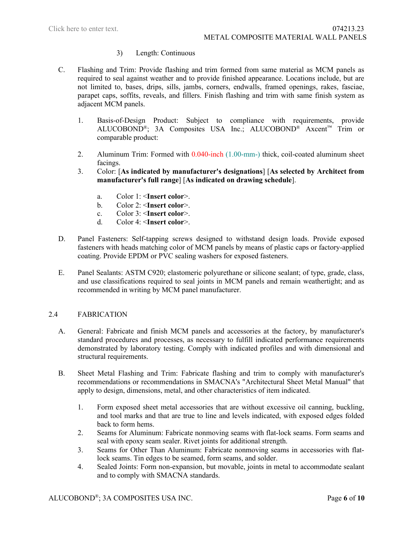## 3) Length: Continuous

- C. Flashing and Trim: Provide flashing and trim formed from same material as MCM panels as required to seal against weather and to provide finished appearance. Locations include, but are not limited to, bases, drips, sills, jambs, corners, endwalls, framed openings, rakes, fasciae, parapet caps, soffits, reveals, and fillers. Finish flashing and trim with same finish system as adjacent MCM panels.
	- 1. Basis-of-Design Product: Subject to compliance with requirements, provide ALUCOBOND®; 3A Composites USA Inc.; ALUCOBOND® Axcent™ Trim or comparable product:
	- 2. Aluminum Trim: Formed with 0.040-inch (1.00-mm-) thick, coil-coated aluminum sheet facings.
	- 3. Color: [**As indicated by manufacturer's designations**] [**As selected by Architect from manufacturer's full range**] [**As indicated on drawing schedule**].
		- a. Color 1: <**Insert color**>.
		- b. Color 2: <**Insert color**>.
		- c. Color 3: <**Insert color**>.
		- d. Color 4: <**Insert color**>.
- D. Panel Fasteners: Self-tapping screws designed to withstand design loads. Provide exposed fasteners with heads matching color of MCM panels by means of plastic caps or factory-applied coating. Provide EPDM or PVC sealing washers for exposed fasteners.
- E. Panel Sealants: ASTM C920; elastomeric polyurethane or silicone sealant; of type, grade, class, and use classifications required to seal joints in MCM panels and remain weathertight; and as recommended in writing by MCM panel manufacturer.

## 2.4 FABRICATION

- A. General: Fabricate and finish MCM panels and accessories at the factory, by manufacturer's standard procedures and processes, as necessary to fulfill indicated performance requirements demonstrated by laboratory testing. Comply with indicated profiles and with dimensional and structural requirements.
- B. Sheet Metal Flashing and Trim: Fabricate flashing and trim to comply with manufacturer's recommendations or recommendations in SMACNA's "Architectural Sheet Metal Manual" that apply to design, dimensions, metal, and other characteristics of item indicated.
	- 1. Form exposed sheet metal accessories that are without excessive oil canning, buckling, and tool marks and that are true to line and levels indicated, with exposed edges folded back to form hems.
	- 2. Seams for Aluminum: Fabricate nonmoving seams with flat-lock seams. Form seams and seal with epoxy seam sealer. Rivet joints for additional strength.
	- 3. Seams for Other Than Aluminum: Fabricate nonmoving seams in accessories with flatlock seams. Tin edges to be seamed, form seams, and solder.
	- 4. Sealed Joints: Form non-expansion, but movable, joints in metal to accommodate sealant and to comply with SMACNA standards.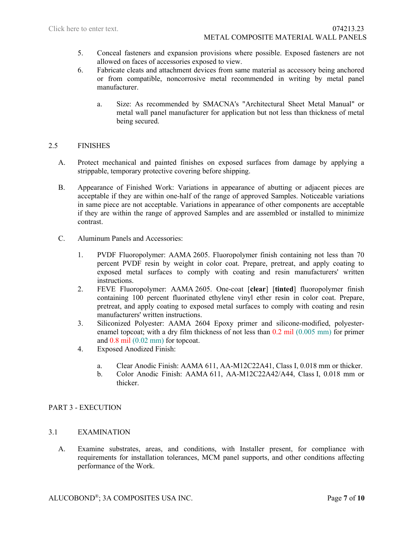- 5. Conceal fasteners and expansion provisions where possible. Exposed fasteners are not allowed on faces of accessories exposed to view.
- 6. Fabricate cleats and attachment devices from same material as accessory being anchored or from compatible, noncorrosive metal recommended in writing by metal panel manufacturer.
	- a. Size: As recommended by SMACNA's "Architectural Sheet Metal Manual" or metal wall panel manufacturer for application but not less than thickness of metal being secured.

## 2.5 FINISHES

- A. Protect mechanical and painted finishes on exposed surfaces from damage by applying a strippable, temporary protective covering before shipping.
- B. Appearance of Finished Work: Variations in appearance of abutting or adjacent pieces are acceptable if they are within one-half of the range of approved Samples. Noticeable variations in same piece are not acceptable. Variations in appearance of other components are acceptable if they are within the range of approved Samples and are assembled or installed to minimize contrast.
- C. Aluminum Panels and Accessories:
	- 1. PVDF Fluoropolymer: AAMA 2605. Fluoropolymer finish containing not less than 70 percent PVDF resin by weight in color coat. Prepare, pretreat, and apply coating to exposed metal surfaces to comply with coating and resin manufacturers' written instructions.
	- 2. FEVE Fluoropolymer: AAMA 2605. One-coat [**clear**] [**tinted**] fluoropolymer finish containing 100 percent fluorinated ethylene vinyl ether resin in color coat. Prepare, pretreat, and apply coating to exposed metal surfaces to comply with coating and resin manufacturers' written instructions.
	- 3. Siliconized Polyester: AAMA 2604 Epoxy primer and silicone-modified, polyesterenamel topcoat; with a dry film thickness of not less than 0.2 mil (0.005 mm) for primer and 0.8 mil (0.02 mm) for topcoat.
	- 4. Exposed Anodized Finish:
		- a. Clear Anodic Finish: AAMA 611, AA-M12C22A41, Class I, 0.018 mm or thicker.
		- b. Color Anodic Finish: AAMA 611, AA-M12C22A42/A44, Class I, 0.018 mm or thicker.

## PART 3 - EXECUTION

# 3.1 EXAMINATION

A. Examine substrates, areas, and conditions, with Installer present, for compliance with requirements for installation tolerances, MCM panel supports, and other conditions affecting performance of the Work.

ALUCOBOND®; 3A COMPOSITES USA INC. Page **7** of **10**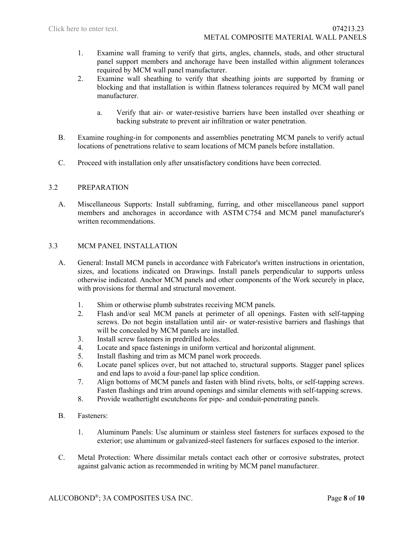- 1. Examine wall framing to verify that girts, angles, channels, studs, and other structural panel support members and anchorage have been installed within alignment tolerances required by MCM wall panel manufacturer.
- 2. Examine wall sheathing to verify that sheathing joints are supported by framing or blocking and that installation is within flatness tolerances required by MCM wall panel manufacturer.
	- a. Verify that air- or water-resistive barriers have been installed over sheathing or backing substrate to prevent air infiltration or water penetration.
- B. Examine roughing-in for components and assemblies penetrating MCM panels to verify actual locations of penetrations relative to seam locations of MCM panels before installation.
- C. Proceed with installation only after unsatisfactory conditions have been corrected.

## 3.2 PREPARATION

A. Miscellaneous Supports: Install subframing, furring, and other miscellaneous panel support members and anchorages in accordance with ASTM C754 and MCM panel manufacturer's written recommendations.

## 3.3 MCM PANEL INSTALLATION

- A. General: Install MCM panels in accordance with Fabricator's written instructions in orientation, sizes, and locations indicated on Drawings. Install panels perpendicular to supports unless otherwise indicated. Anchor MCM panels and other components of the Work securely in place, with provisions for thermal and structural movement.
	- 1. Shim or otherwise plumb substrates receiving MCM panels.
	- 2. Flash and/or seal MCM panels at perimeter of all openings. Fasten with self-tapping screws. Do not begin installation until air- or water-resistive barriers and flashings that will be concealed by MCM panels are installed.
	- 3. Install screw fasteners in predrilled holes.
	- 4. Locate and space fastenings in uniform vertical and horizontal alignment.
	- 5. Install flashing and trim as MCM panel work proceeds.
	- 6. Locate panel splices over, but not attached to, structural supports. Stagger panel splices and end laps to avoid a four-panel lap splice condition.
	- 7. Align bottoms of MCM panels and fasten with blind rivets, bolts, or self-tapping screws. Fasten flashings and trim around openings and similar elements with self-tapping screws.
	- 8. Provide weathertight escutcheons for pipe- and conduit-penetrating panels.
- B. Fasteners:
	- 1. Aluminum Panels: Use aluminum or stainless steel fasteners for surfaces exposed to the exterior; use aluminum or galvanized-steel fasteners for surfaces exposed to the interior.
- C. Metal Protection: Where dissimilar metals contact each other or corrosive substrates, protect against galvanic action as recommended in writing by MCM panel manufacturer.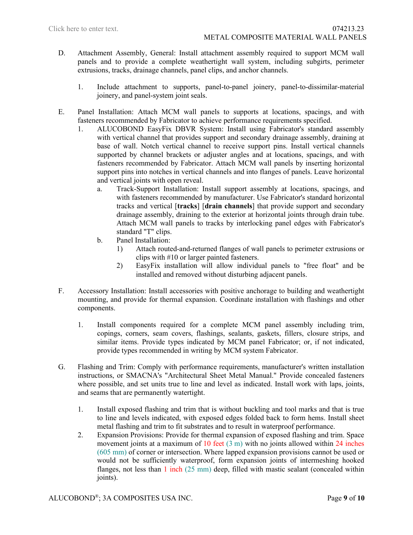- D. Attachment Assembly, General: Install attachment assembly required to support MCM wall panels and to provide a complete weathertight wall system, including subgirts, perimeter extrusions, tracks, drainage channels, panel clips, and anchor channels.
	- 1. Include attachment to supports, panel-to-panel joinery, panel-to-dissimilar-material joinery, and panel-system joint seals.
- E. Panel Installation: Attach MCM wall panels to supports at locations, spacings, and with fasteners recommended by Fabricator to achieve performance requirements specified.
	- 1. ALUCOBOND EasyFix DBVR System: Install using Fabricator's standard assembly with vertical channel that provides support and secondary drainage assembly, draining at base of wall. Notch vertical channel to receive support pins. Install vertical channels supported by channel brackets or adjuster angles and at locations, spacings, and with fasteners recommended by Fabricator. Attach MCM wall panels by inserting horizontal support pins into notches in vertical channels and into flanges of panels. Leave horizontal and vertical joints with open reveal.
		- a. Track-Support Installation: Install support assembly at locations, spacings, and with fasteners recommended by manufacturer. Use Fabricator's standard horizontal tracks and vertical [**tracks**] [**drain channels**] that provide support and secondary drainage assembly, draining to the exterior at horizontal joints through drain tube. Attach MCM wall panels to tracks by interlocking panel edges with Fabricator's standard "T" clips.
		- b. Panel Installation:
			- 1) Attach routed-and-returned flanges of wall panels to perimeter extrusions or clips with #10 or larger painted fasteners.
			- 2) EasyFix installation will allow individual panels to "free float" and be installed and removed without disturbing adjacent panels.
- F. Accessory Installation: Install accessories with positive anchorage to building and weathertight mounting, and provide for thermal expansion. Coordinate installation with flashings and other components.
	- 1. Install components required for a complete MCM panel assembly including trim, copings, corners, seam covers, flashings, sealants, gaskets, fillers, closure strips, and similar items. Provide types indicated by MCM panel Fabricator; or, if not indicated, provide types recommended in writing by MCM system Fabricator.
- G. Flashing and Trim: Comply with performance requirements, manufacturer's written installation instructions, or SMACNA's "Architectural Sheet Metal Manual." Provide concealed fasteners where possible, and set units true to line and level as indicated. Install work with laps, joints, and seams that are permanently watertight.
	- 1. Install exposed flashing and trim that is without buckling and tool marks and that is true to line and levels indicated, with exposed edges folded back to form hems. Install sheet metal flashing and trim to fit substrates and to result in waterproof performance.
	- 2. Expansion Provisions: Provide for thermal expansion of exposed flashing and trim. Space movement joints at a maximum of 10 feet  $(3 \text{ m})$  with no joints allowed within 24 inches (605 mm) of corner or intersection. Where lapped expansion provisions cannot be used or would not be sufficiently waterproof, form expansion joints of intermeshing hooked flanges, not less than  $1$  inch  $(25 \text{ mm})$  deep, filled with mastic sealant (concealed within joints).